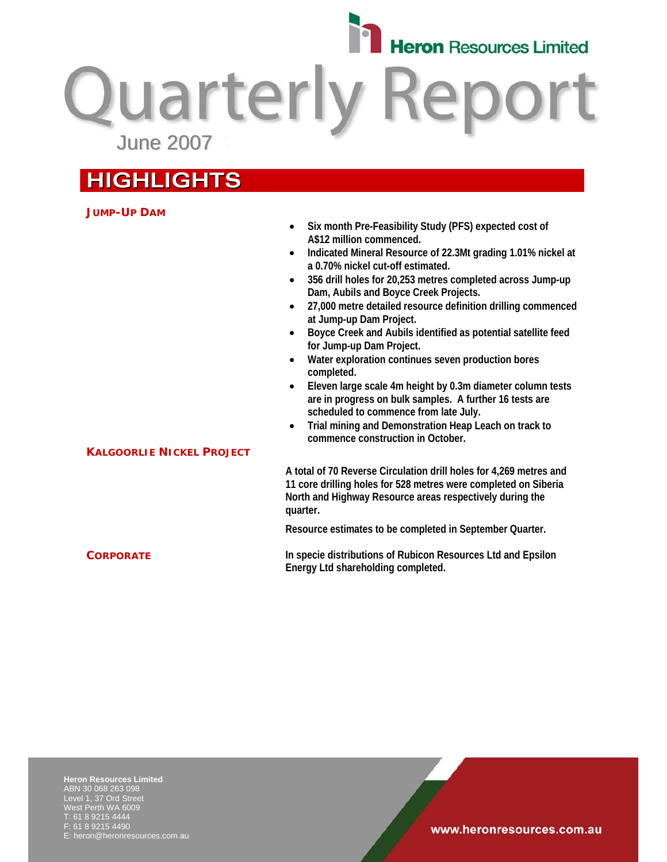

**Quarterly Report** June 2007

# **HIGHLIGHTS**

**KALGOORLIE NICKEL PROJECT** 

### **JUMP-UP DAM**

- **Six month Pre-Feasibility Study (PFS) expected cost of A\$12 million commenced.**
- **Indicated Mineral Resource of 22.3Mt grading 1.01% nickel at a 0.70% nickel cut-off estimated.**
- **356 drill holes for 20,253 metres completed across Jump-up Dam, Aubils and Boyce Creek Projects.**
- **27,000 metre detailed resource definition drilling commenced at Jump-up Dam Project.**
- **Boyce Creek and Aubils identified as potential satellite feed for Jump-up Dam Project.**
- **Water exploration continues seven production bores completed.**
- **Eleven large scale 4m height by 0.3m diameter column tests are in progress on bulk samples. A further 16 tests are scheduled to commence from late July.**
- **Trial mining and Demonstration Heap Leach on track to commence construction in October.**

**A total of 70 Reverse Circulation drill holes for 4,269 metres and 11 core drilling holes for 528 metres were completed on Siberia North and Highway Resource areas respectively during the quarter.** 

**Resource estimates to be completed in September Quarter.** 

**CORPORATE In specie distributions of Rubicon Resources Ltd and Epsilon Energy Ltd shareholding completed.** 

**Heron Resources Limited**  ABN 30 068 263 098 Level 1, 37 Ord Street West Perth WA 6009 T: 61 8 9215 4444 F: 61 8 9215 4490 E: heron@heronresources.com.au

### www.heronresources.com.au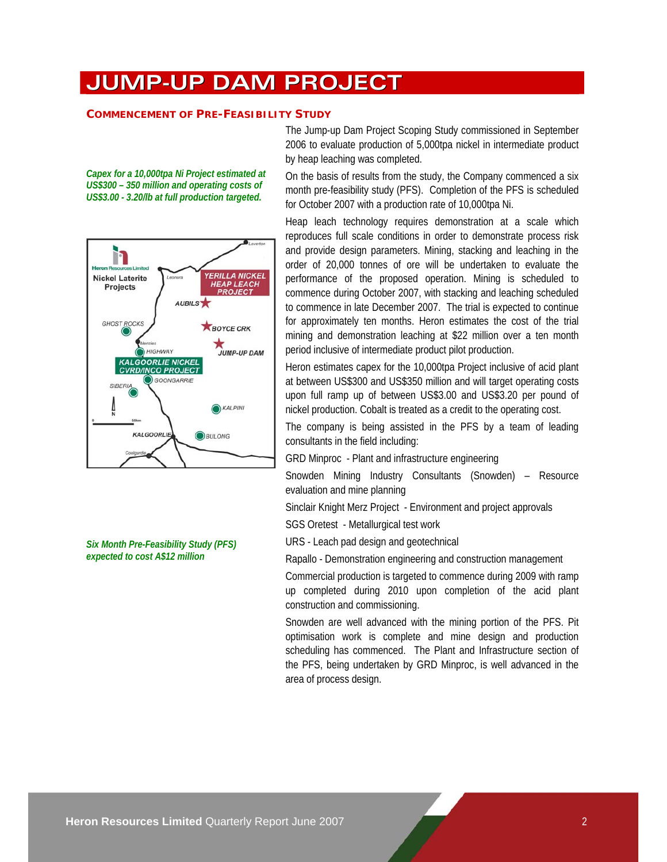# **JUMP-UP DAM PROJECT**

#### **COMMENCEMENT OF PRE-FEASIBILITY STUDY**

*Capex for a 10,000tpa Ni Project estimated at US\$300 – 350 million and operating costs of US\$3.00 - 3.20/lb at full production targeted.* 



*Six Month Pre-Feasibility Study (PFS) expected to cost A\$12 million* 

The Jump-up Dam Project Scoping Study commissioned in September 2006 to evaluate production of 5,000tpa nickel in intermediate product by heap leaching was completed.

On the basis of results from the study, the Company commenced a six month pre-feasibility study (PFS). Completion of the PFS is scheduled for October 2007 with a production rate of 10,000tpa Ni.

Heap leach technology requires demonstration at a scale which reproduces full scale conditions in order to demonstrate process risk and provide design parameters. Mining, stacking and leaching in the order of 20,000 tonnes of ore will be undertaken to evaluate the performance of the proposed operation. Mining is scheduled to commence during October 2007, with stacking and leaching scheduled to commence in late December 2007. The trial is expected to continue for approximately ten months. Heron estimates the cost of the trial mining and demonstration leaching at \$22 million over a ten month period inclusive of intermediate product pilot production.

Heron estimates capex for the 10,000tpa Project inclusive of acid plant at between US\$300 and US\$350 million and will target operating costs upon full ramp up of between US\$3.00 and US\$3.20 per pound of nickel production. Cobalt is treated as a credit to the operating cost.

The company is being assisted in the PFS by a team of leading consultants in the field including:

GRD Minproc - Plant and infrastructure engineering

Snowden Mining Industry Consultants (Snowden) – Resource evaluation and mine planning

Sinclair Knight Merz Project - Environment and project approvals

SGS Oretest - Metallurgical test work

URS - Leach pad design and geotechnical

Rapallo - Demonstration engineering and construction management

Commercial production is targeted to commence during 2009 with ramp up completed during 2010 upon completion of the acid plant construction and commissioning.

Snowden are well advanced with the mining portion of the PFS. Pit optimisation work is complete and mine design and production scheduling has commenced. The Plant and Infrastructure section of the PFS, being undertaken by GRD Minproc, is well advanced in the area of process design.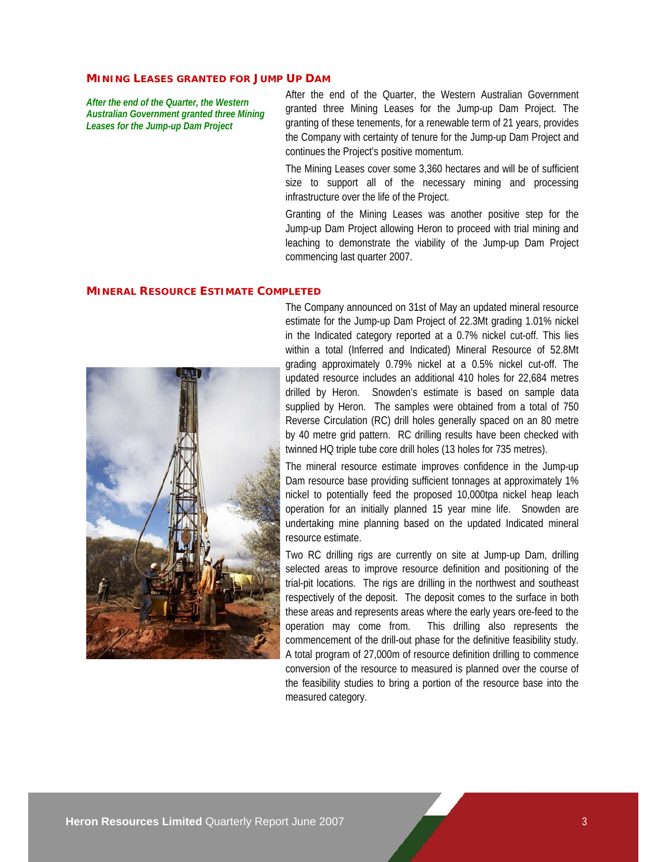#### **MINING LEASES GRANTED FOR JUMP UP DAM**

*After the end of the Quarter, the Western Australian Government granted three Mining Leases for the Jump-up Dam Project* 

After the end of the Quarter, the Western Australian Government granted three Mining Leases for the Jump-up Dam Project. The granting of these tenements, for a renewable term of 21 years, provides the Company with certainty of tenure for the Jump-up Dam Project and continues the Project's positive momentum.

The Mining Leases cover some 3,360 hectares and will be of sufficient size to support all of the necessary mining and processing infrastructure over the life of the Project.

Granting of the Mining Leases was another positive step for the Jump-up Dam Project allowing Heron to proceed with trial mining and leaching to demonstrate the viability of the Jump-up Dam Project commencing last quarter 2007.

#### **MINERAL RESOURCE ESTIMATE COMPLETED**



The Company announced on 31st of May an updated mineral resource estimate for the Jump-up Dam Project of 22.3Mt grading 1.01% nickel in the Indicated category reported at a 0.7% nickel cut-off. This lies within a total (Inferred and Indicated) Mineral Resource of 52.8Mt grading approximately 0.79% nickel at a 0.5% nickel cut-off. The updated resource includes an additional 410 holes for 22,684 metres drilled by Heron. Snowden's estimate is based on sample data supplied by Heron. The samples were obtained from a total of 750 Reverse Circulation (RC) drill holes generally spaced on an 80 metre by 40 metre grid pattern. RC drilling results have been checked with twinned HQ triple tube core drill holes (13 holes for 735 metres).

The mineral resource estimate improves confidence in the Jump-up Dam resource base providing sufficient tonnages at approximately 1% nickel to potentially feed the proposed 10,000tpa nickel heap leach operation for an initially planned 15 year mine life. Snowden are undertaking mine planning based on the updated Indicated mineral resource estimate.

Two RC drilling rigs are currently on site at Jump-up Dam, drilling selected areas to improve resource definition and positioning of the trial-pit locations. The rigs are drilling in the northwest and southeast respectively of the deposit. The deposit comes to the surface in both these areas and represents areas where the early years ore-feed to the operation may come from. This drilling also represents the commencement of the drill-out phase for the definitive feasibility study. A total program of 27,000m of resource definition drilling to commence conversion of the resource to measured is planned over the course of the feasibility studies to bring a portion of the resource base into the measured category.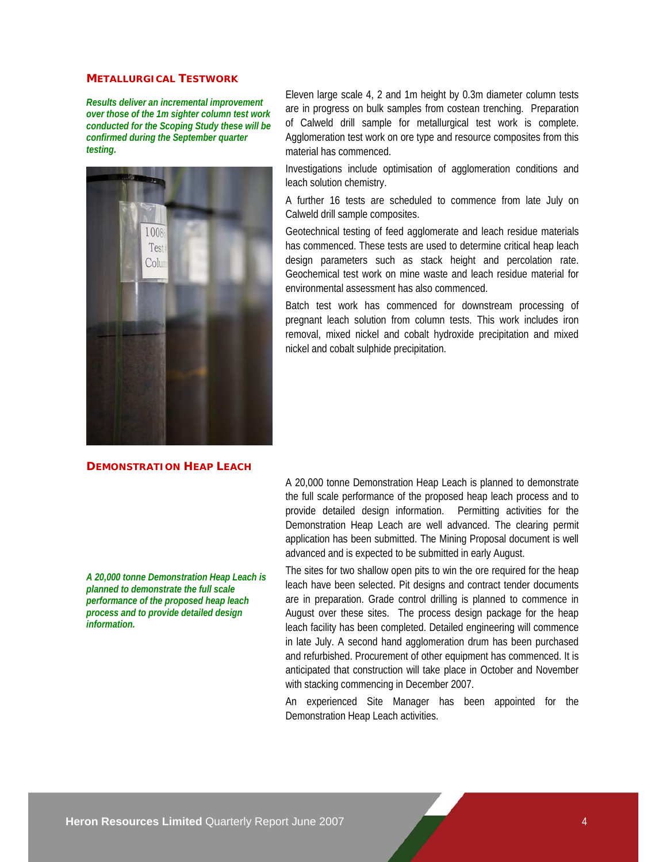### **METALLURGICAL TESTWORK**

*Results deliver an incremental improvement over those of the 1m sighter column test work conducted for the Scoping Study these will be confirmed during the September quarter testing.* 



### **DEMONSTRATION HEAP LEACH**

*A 20,000 tonne Demonstration Heap Leach is planned to demonstrate the full scale performance of the proposed heap leach process and to provide detailed design information.* 

Eleven large scale 4, 2 and 1m height by 0.3m diameter column tests are in progress on bulk samples from costean trenching. Preparation of Calweld drill sample for metallurgical test work is complete. Agglomeration test work on ore type and resource composites from this material has commenced.

Investigations include optimisation of agglomeration conditions and leach solution chemistry.

A further 16 tests are scheduled to commence from late July on Calweld drill sample composites.

Geotechnical testing of feed agglomerate and leach residue materials has commenced. These tests are used to determine critical heap leach design parameters such as stack height and percolation rate. Geochemical test work on mine waste and leach residue material for environmental assessment has also commenced.

Batch test work has commenced for downstream processing of pregnant leach solution from column tests. This work includes iron removal, mixed nickel and cobalt hydroxide precipitation and mixed nickel and cobalt sulphide precipitation.

A 20,000 tonne Demonstration Heap Leach is planned to demonstrate the full scale performance of the proposed heap leach process and to provide detailed design information. Permitting activities for the Demonstration Heap Leach are well advanced. The clearing permit application has been submitted. The Mining Proposal document is well advanced and is expected to be submitted in early August.

The sites for two shallow open pits to win the ore required for the heap leach have been selected. Pit designs and contract tender documents are in preparation. Grade control drilling is planned to commence in August over these sites. The process design package for the heap leach facility has been completed. Detailed engineering will commence in late July. A second hand agglomeration drum has been purchased and refurbished. Procurement of other equipment has commenced. It is anticipated that construction will take place in October and November with stacking commencing in December 2007.

An experienced Site Manager has been appointed for the Demonstration Heap Leach activities.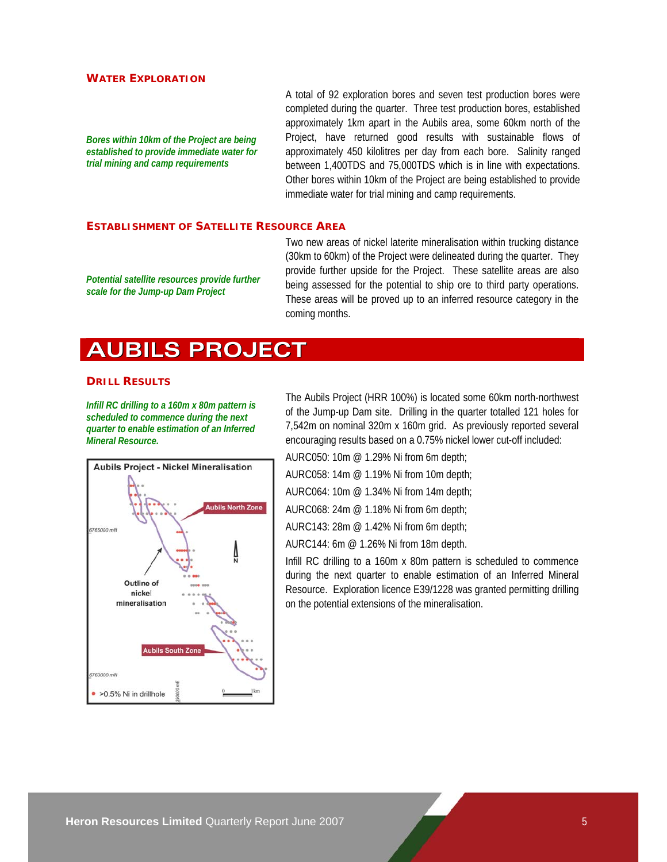#### **WATER EXPLORATION**

*Bores within 10km of the Project are being established to provide immediate water for trial mining and camp requirements* 

A total of 92 exploration bores and seven test production bores were completed during the quarter. Three test production bores, established approximately 1km apart in the Aubils area, some 60km north of the Project, have returned good results with sustainable flows of approximately 450 kilolitres per day from each bore. Salinity ranged between 1,400TDS and 75,000TDS which is in line with expectations. Other bores within 10km of the Project are being established to provide immediate water for trial mining and camp requirements.

### **ESTABLISHMENT OF SATELLITE RESOURCE AREA**

*Potential satellite resources provide further scale for the Jump-up Dam Project* 

Two new areas of nickel laterite mineralisation within trucking distance (30km to 60km) of the Project were delineated during the quarter. They provide further upside for the Project. These satellite areas are also being assessed for the potential to ship ore to third party operations. These areas will be proved up to an inferred resource category in the coming months.

### **AUBILS PROJECT**

#### **DRILL RESULTS**

*Infill RC drilling to a 160m x 80m pattern is scheduled to commence during the next quarter to enable estimation of an Inferred Mineral Resource.* 



The Aubils Project (HRR 100%) is located some 60km north-northwest of the Jump-up Dam site. Drilling in the quarter totalled 121 holes for 7,542m on nominal 320m x 160m grid. As previously reported several encouraging results based on a 0.75% nickel lower cut-off included:

AURC050: 10m @ 1.29% Ni from 6m depth;

AURC058: 14m @ 1.19% Ni from 10m depth;

AURC064: 10m @ 1.34% Ni from 14m depth;

AURC068: 24m @ 1.18% Ni from 6m depth;

AURC143: 28m @ 1.42% Ni from 6m depth;

AURC144: 6m @ 1.26% Ni from 18m depth.

Infill RC drilling to a 160m x 80m pattern is scheduled to commence during the next quarter to enable estimation of an Inferred Mineral Resource. Exploration licence E39/1228 was granted permitting drilling on the potential extensions of the mineralisation.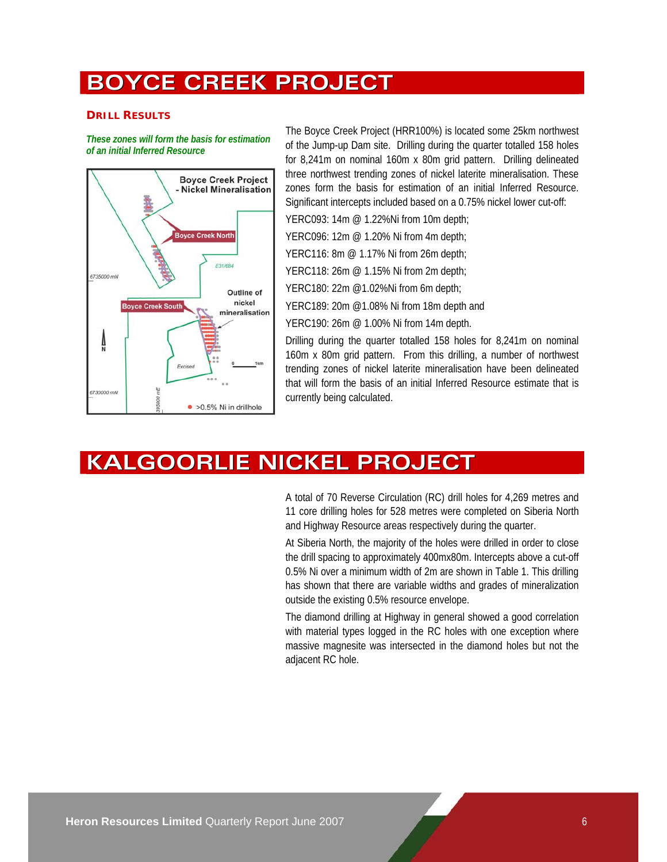### **BOYCE CREEK PROJECT**

### **DRILL RESULTS**

*These zones will form the basis for estimation of an initial Inferred Resource* 



The Boyce Creek Project (HRR100%) is located some 25km northwest of the Jump-up Dam site. Drilling during the quarter totalled 158 holes for 8,241m on nominal 160m x 80m grid pattern. Drilling delineated three northwest trending zones of nickel laterite mineralisation. These zones form the basis for estimation of an initial Inferred Resource. Significant intercepts included based on a 0.75% nickel lower cut-off:

YERC093: 14m @ 1.22%Ni from 10m depth;

YERC096: 12m @ 1.20% Ni from 4m depth;

YERC116: 8m @ 1.17% Ni from 26m depth;

YERC118: 26m @ 1.15% Ni from 2m depth;

YERC180: 22m @1.02%Ni from 6m depth;

YERC189: 20m @1.08% Ni from 18m depth and

YERC190: 26m @ 1.00% Ni from 14m depth.

Drilling during the quarter totalled 158 holes for 8,241m on nominal 160m x 80m grid pattern. From this drilling, a number of northwest trending zones of nickel laterite mineralisation have been delineated that will form the basis of an initial Inferred Resource estimate that is currently being calculated.

### **KALGOORLIE NICKEL PROJECT**

A total of 70 Reverse Circulation (RC) drill holes for 4,269 metres and 11 core drilling holes for 528 metres were completed on Siberia North and Highway Resource areas respectively during the quarter.

At Siberia North, the majority of the holes were drilled in order to close the drill spacing to approximately 400mx80m. Intercepts above a cut-off 0.5% Ni over a minimum width of 2m are shown in Table 1. This drilling has shown that there are variable widths and grades of mineralization outside the existing 0.5% resource envelope.

The diamond drilling at Highway in general showed a good correlation with material types logged in the RC holes with one exception where massive magnesite was intersected in the diamond holes but not the adjacent RC hole.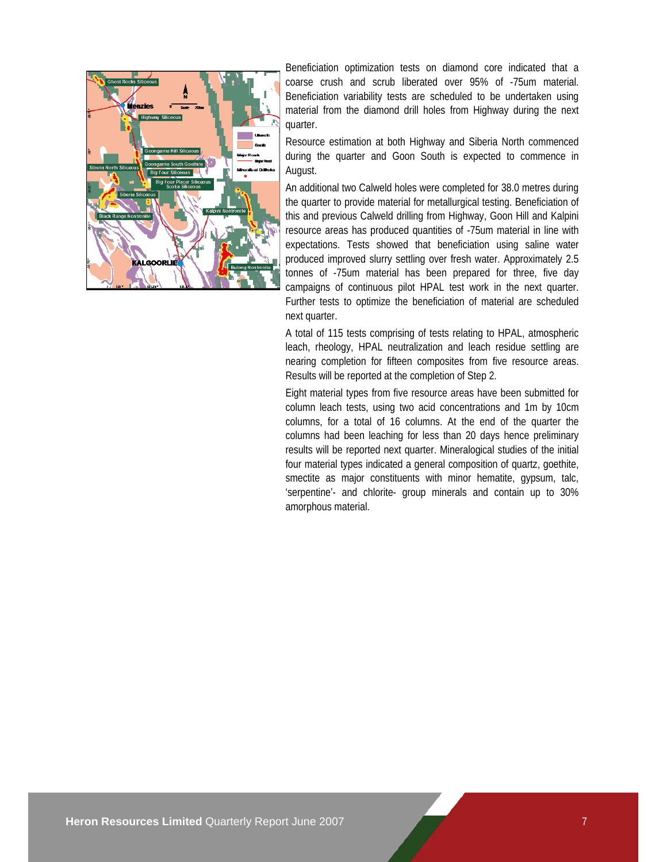

Beneficiation optimization tests on diamond core indicated that a coarse crush and scrub liberated over 95% of -75um material. Beneficiation variability tests are scheduled to be undertaken using material from the diamond drill holes from Highway during the next quarter.

Resource estimation at both Highway and Siberia North commenced during the quarter and Goon South is expected to commence in August.

An additional two Calweld holes were completed for 38.0 metres during the quarter to provide material for metallurgical testing. Beneficiation of this and previous Calweld drilling from Highway, Goon Hill and Kalpini resource areas has produced quantities of -75um material in line with expectations. Tests showed that beneficiation using saline water produced improved slurry settling over fresh water. Approximately 2.5 tonnes of -75um material has been prepared for three, five day campaigns of continuous pilot HPAL test work in the next quarter. Further tests to optimize the beneficiation of material are scheduled next quarter.

A total of 115 tests comprising of tests relating to HPAL, atmospheric leach, rheology, HPAL neutralization and leach residue settling are nearing completion for fifteen composites from five resource areas. Results will be reported at the completion of Step 2.

Eight material types from five resource areas have been submitted for column leach tests, using two acid concentrations and 1m by 10cm columns, for a total of 16 columns. At the end of the quarter the columns had been leaching for less than 20 days hence preliminary results will be reported next quarter. Mineralogical studies of the initial four material types indicated a general composition of quartz, goethite, smectite as major constituents with minor hematite, gypsum, talc, 'serpentine'- and chlorite- group minerals and contain up to 30% amorphous material.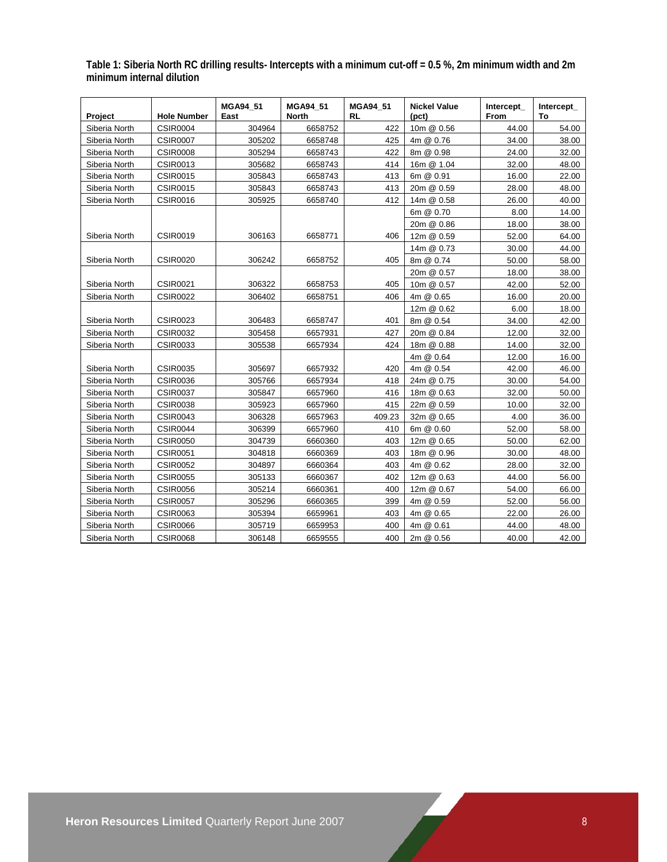**Table 1: Siberia North RC drilling results- Intercepts with a minimum cut-off = 0.5 %, 2m minimum width and 2m minimum internal dilution** 

| <b>Project</b> | <b>Hole Number</b> | MGA94 51<br>East | MGA94_51<br>North | MGA94 51<br>RL | <b>Nickel Value</b><br>(pct) | Intercept<br><b>From</b> | Intercept<br>То |
|----------------|--------------------|------------------|-------------------|----------------|------------------------------|--------------------------|-----------------|
| Siberia North  | <b>CSIR0004</b>    | 304964           | 6658752           | 422            | 10m @ 0.56                   | 44.00                    | 54.00           |
| Siberia North  | <b>CSIR0007</b>    | 305202           | 6658748           | 425            | 4m @ 0.76                    | 34.00                    | 38.00           |
| Siberia North  | <b>CSIR0008</b>    | 305294           | 6658743           | 422            | 8m @ 0.98                    | 24.00                    | 32.00           |
| Siberia North  | <b>CSIR0013</b>    | 305682           | 6658743           | 414            | 16m @ 1.04                   | 32.00                    | 48.00           |
| Siberia North  | <b>CSIR0015</b>    | 305843           | 6658743           | 413            | 6m @ 0.91                    | 16.00                    | 22.00           |
| Siberia North  | <b>CSIR0015</b>    | 305843           | 6658743           | 413            | 20m @ 0.59                   | 28.00                    | 48.00           |
| Siberia North  | <b>CSIR0016</b>    | 305925           | 6658740           | 412            | 14m @ 0.58                   | 26.00                    | 40.00           |
|                |                    |                  |                   |                | 6m @ 0.70                    | 8.00                     | 14.00           |
|                |                    |                  |                   |                | 20m @ 0.86                   | 18.00                    | 38.00           |
| Siberia North  | <b>CSIR0019</b>    | 306163           | 6658771           | 406            | 12m @ 0.59                   | 52.00                    | 64.00           |
|                |                    |                  |                   |                | 14m @ 0.73                   | 30.00                    | 44.00           |
| Siberia North  | <b>CSIR0020</b>    | 306242           | 6658752           | 405            | 8m @ 0.74                    | 50.00                    | 58.00           |
|                |                    |                  |                   |                | 20m @ 0.57                   | 18.00                    | 38.00           |
| Siberia North  | <b>CSIR0021</b>    | 306322           | 6658753           | 405            | 10m @ 0.57                   | 42.00                    | 52.00           |
| Siberia North  | <b>CSIR0022</b>    | 306402           | 6658751           | 406            | 4m @ 0.65                    | 16.00                    | 20.00           |
|                |                    |                  |                   |                | 12m @ 0.62                   | 6.00                     | 18.00           |
| Siberia North  | <b>CSIR0023</b>    | 306483           | 6658747           | 401            | 8m @ 0.54                    | 34.00                    | 42.00           |
| Siberia North  | <b>CSIR0032</b>    | 305458           | 6657931           | 427            | 20m @ 0.84                   | 12.00                    | 32.00           |
| Siberia North  | <b>CSIR0033</b>    | 305538           | 6657934           | 424            | 18m @ 0.88                   | 14.00                    | 32.00           |
|                |                    |                  |                   |                | 4m @ 0.64                    | 12.00                    | 16.00           |
| Siberia North  | <b>CSIR0035</b>    | 305697           | 6657932           | 420            | 4m @ 0.54                    | 42.00                    | 46.00           |
| Siberia North  | <b>CSIR0036</b>    | 305766           | 6657934           | 418            | 24m @ 0.75                   | 30.00                    | 54.00           |
| Siberia North  | <b>CSIR0037</b>    | 305847           | 6657960           | 416            | 18m @ 0.63                   | 32.00                    | 50.00           |
| Siberia North  | <b>CSIR0038</b>    | 305923           | 6657960           | 415            | 22m @ 0.59                   | 10.00                    | 32.00           |
| Siberia North  | <b>CSIR0043</b>    | 306328           | 6657963           | 409.23         | 32m @ 0.65                   | 4.00                     | 36.00           |
| Siberia North  | <b>CSIR0044</b>    | 306399           | 6657960           | 410            | 6m @ 0.60                    | 52.00                    | 58.00           |
| Siberia North  | <b>CSIR0050</b>    | 304739           | 6660360           | 403            | 12m @ 0.65                   | 50.00                    | 62.00           |
| Siberia North  | <b>CSIR0051</b>    | 304818           | 6660369           | 403            | 18m @ 0.96                   | 30.00                    | 48.00           |
| Siberia North  | <b>CSIR0052</b>    | 304897           | 6660364           | 403            | 4m @ 0.62                    | 28.00                    | 32.00           |
| Siberia North  | <b>CSIR0055</b>    | 305133           | 6660367           | 402            | 12m @ 0.63                   | 44.00                    | 56.00           |
| Siberia North  | <b>CSIR0056</b>    | 305214           | 6660361           | 400            | 12m @ 0.67                   | 54.00                    | 66.00           |
| Siberia North  | <b>CSIR0057</b>    | 305296           | 6660365           | 399            | 4m @ 0.59                    | 52.00                    | 56.00           |
| Siberia North  | <b>CSIR0063</b>    | 305394           | 6659961           | 403            | 4m @ 0.65                    | 22.00                    | 26.00           |
| Siberia North  | <b>CSIR0066</b>    | 305719           | 6659953           | 400            | 4m @ 0.61                    | 44.00                    | 48.00           |
| Siberia North  | <b>CSIR0068</b>    | 306148           | 6659555           | 400            | 2m @ 0.56                    | 40.00                    | 42.00           |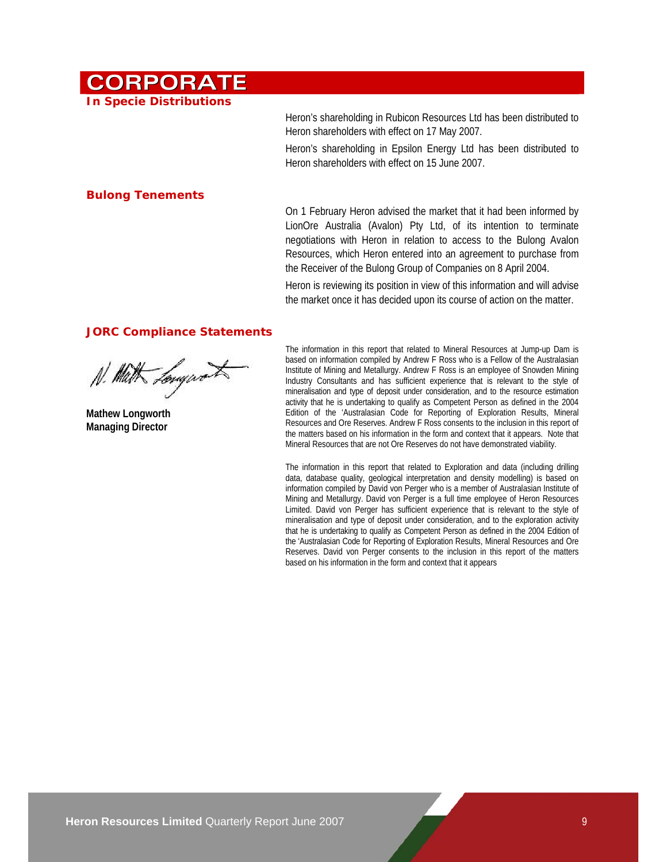# **CORPORATE**

**In Specie Distributions** 

Heron's shareholding in Rubicon Resources Ltd has been distributed to Heron shareholders with effect on 17 May 2007.

Heron's shareholding in Epsilon Energy Ltd has been distributed to Heron shareholders with effect on 15 June 2007.

### **Bulong Tenements**

On 1 February Heron advised the market that it had been informed by LionOre Australia (Avalon) Pty Ltd, of its intention to terminate negotiations with Heron in relation to access to the Bulong Avalon Resources, which Heron entered into an agreement to purchase from the Receiver of the Bulong Group of Companies on 8 April 2004.

Heron is reviewing its position in view of this information and will advise the market once it has decided upon its course of action on the matter.

### **JORC Compliance Statements**

N. Math Longwort

**Mathew Longworth Managing Director** 

The information in this report that related to Mineral Resources at Jump-up Dam is based on information compiled by Andrew F Ross who is a Fellow of the Australasian Institute of Mining and Metallurgy. Andrew F Ross is an employee of Snowden Mining Industry Consultants and has sufficient experience that is relevant to the style of mineralisation and type of deposit under consideration, and to the resource estimation activity that he is undertaking to qualify as Competent Person as defined in the 2004 Edition of the 'Australasian Code for Reporting of Exploration Results, Mineral Resources and Ore Reserves. Andrew F Ross consents to the inclusion in this report of the matters based on his information in the form and context that it appears. Note that Mineral Resources that are not Ore Reserves do not have demonstrated viability.

The information in this report that related to Exploration and data (including drilling data, database quality, geological interpretation and density modelling) is based on information compiled by David von Perger who is a member of Australasian Institute of Mining and Metallurgy. David von Perger is a full time employee of Heron Resources Limited. David von Perger has sufficient experience that is relevant to the style of mineralisation and type of deposit under consideration, and to the exploration activity that he is undertaking to qualify as Competent Person as defined in the 2004 Edition of the 'Australasian Code for Reporting of Exploration Results, Mineral Resources and Ore Reserves. David von Perger consents to the inclusion in this report of the matters based on his information in the form and context that it appears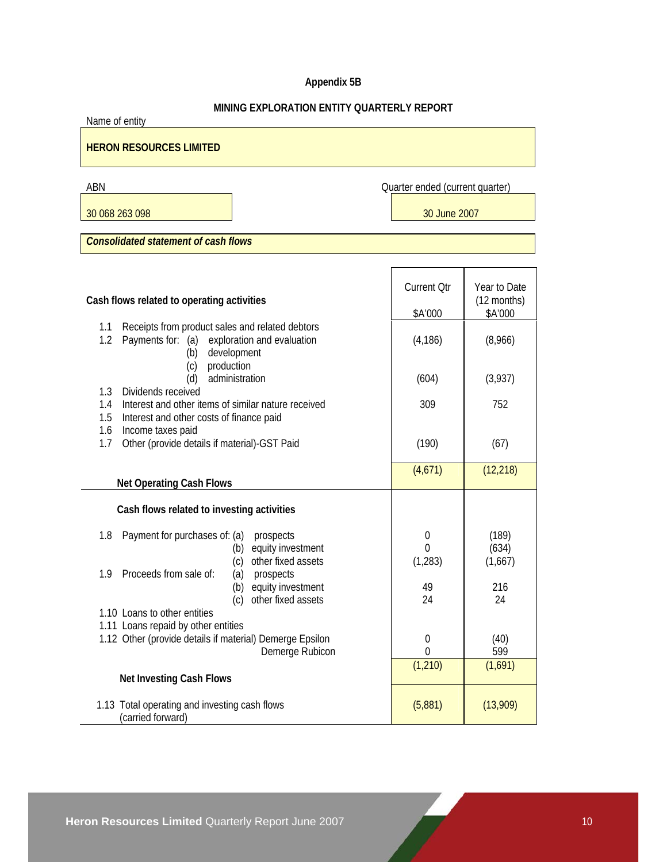### **Appendix 5B**

### **MINING EXPLORATION ENTITY QUARTERLY REPORT**

| <u>MINING EXPLORATION ENTITY QUARTERLY REPORT</u><br>Name of entity                                                                    |                                 |              |  |  |
|----------------------------------------------------------------------------------------------------------------------------------------|---------------------------------|--------------|--|--|
| <b>HERON RESOURCES LIMITED</b>                                                                                                         |                                 |              |  |  |
| ABN                                                                                                                                    | Quarter ended (current quarter) |              |  |  |
| 30 068 263 098                                                                                                                         | 30 June 2007                    |              |  |  |
|                                                                                                                                        |                                 |              |  |  |
| <b>Consolidated statement of cash flows</b>                                                                                            |                                 |              |  |  |
|                                                                                                                                        |                                 |              |  |  |
|                                                                                                                                        | <b>Current Qtr</b>              | Year to Date |  |  |
| Cash flows related to operating activities                                                                                             |                                 | (12 months)  |  |  |
|                                                                                                                                        | \$A'000                         | \$A'000      |  |  |
| Receipts from product sales and related debtors<br>1.1<br>1.2<br>Payments for: (a)<br>exploration and evaluation<br>development<br>(b) | (4, 186)                        | (8,966)      |  |  |
| production<br>(c)<br>administration                                                                                                    |                                 |              |  |  |
| (d)<br>1.3<br>Dividends received                                                                                                       | (604)                           | (3,937)      |  |  |
| Interest and other items of similar nature received<br>1.4                                                                             | 309                             | 752          |  |  |
| Interest and other costs of finance paid<br>1.5                                                                                        |                                 |              |  |  |
| 1.6<br>Income taxes paid<br>Other (provide details if material)-GST Paid<br>1.7                                                        | (190)                           | (67)         |  |  |
|                                                                                                                                        |                                 |              |  |  |
|                                                                                                                                        | (4,671)                         | (12, 218)    |  |  |
| <b>Net Operating Cash Flows</b>                                                                                                        |                                 |              |  |  |
| Cash flows related to investing activities                                                                                             |                                 |              |  |  |
| 1.8<br>Payment for purchases of: (a)<br>prospects                                                                                      | 0                               | (189)        |  |  |
| equity investment<br>(b)                                                                                                               | 0                               | (634)        |  |  |
| other fixed assets<br>(c)<br>Proceeds from sale of:                                                                                    | (1, 283)                        | (1,667)      |  |  |
| 1.9<br>(a) prospects<br>(b) equity investment                                                                                          | 49                              | 216          |  |  |
| other fixed assets<br>(c)                                                                                                              | 24                              | 24           |  |  |
| 1.10 Loans to other entities                                                                                                           |                                 |              |  |  |
| 1.11 Loans repaid by other entities                                                                                                    |                                 |              |  |  |
| 1.12 Other (provide details if material) Demerge Epsilon<br>Demerge Rubicon                                                            | $\theta$<br>0                   | (40)<br>599  |  |  |
|                                                                                                                                        | (1, 210)                        | (1,691)      |  |  |

1.13 Total operating and investing cash flows

**Net Investing Cash Flows**

(5,881) (13,909)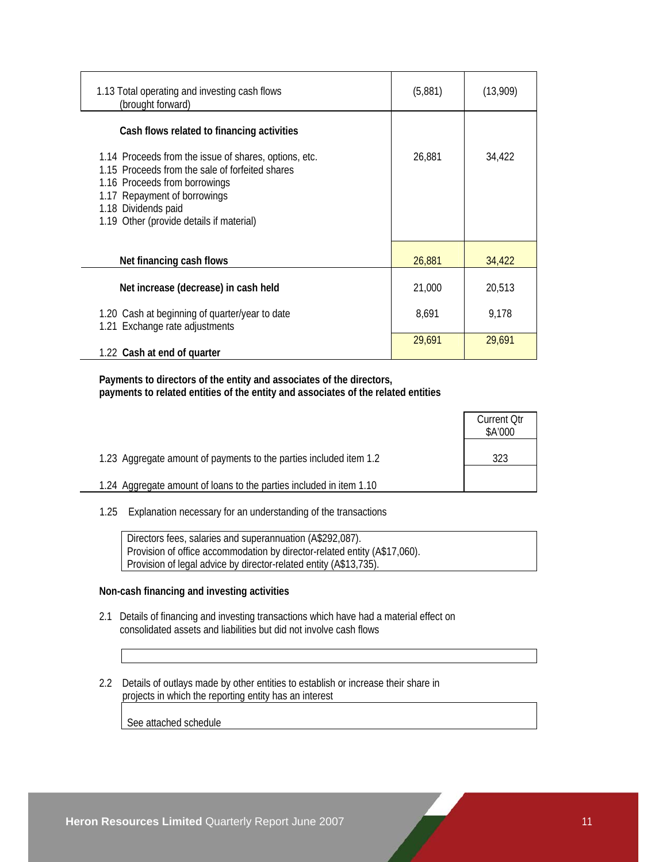| 1.13 Total operating and investing cash flows<br>(brought forward)                                                                                                                                                                           | (5,881) | (13,909) |
|----------------------------------------------------------------------------------------------------------------------------------------------------------------------------------------------------------------------------------------------|---------|----------|
| Cash flows related to financing activities                                                                                                                                                                                                   |         |          |
| 1.14 Proceeds from the issue of shares, options, etc.<br>1.15 Proceeds from the sale of forfeited shares<br>1.16 Proceeds from borrowings<br>1.17 Repayment of borrowings<br>1.18 Dividends paid<br>1.19 Other (provide details if material) | 26,881  | 34,422   |
| Net financing cash flows                                                                                                                                                                                                                     | 26,881  | 34,422   |
| Net increase (decrease) in cash held                                                                                                                                                                                                         | 21,000  | 20,513   |
| 1.20 Cash at beginning of quarter/year to date<br>1.21 Exchange rate adjustments                                                                                                                                                             | 8,691   | 9,178    |
| 1.22 Cash at end of quarter                                                                                                                                                                                                                  | 29,691  | 29,691   |

 **Payments to directors of the entity and associates of the directors, payments to related entities of the entity and associates of the related entities** 

|                                                                     | <b>Current Qtr</b><br>\$A'000 |
|---------------------------------------------------------------------|-------------------------------|
| 1.23 Aggregate amount of payments to the parties included item 1.2  | 323                           |
| 1.24 Aggregate amount of loans to the parties included in item 1.10 |                               |

1.25 Explanation necessary for an understanding of the transactions

 Directors fees, salaries and superannuation (A\$292,087). Provision of office accommodation by director-related entity (A\$17,060). Provision of legal advice by director-related entity (A\$13,735).

### **Non-cash financing and investing activities**

- 2.1 Details of financing and investing transactions which have had a material effect on consolidated assets and liabilities but did not involve cash flows
- 2.2 Details of outlays made by other entities to establish or increase their share in projects in which the reporting entity has an interest

See attached schedule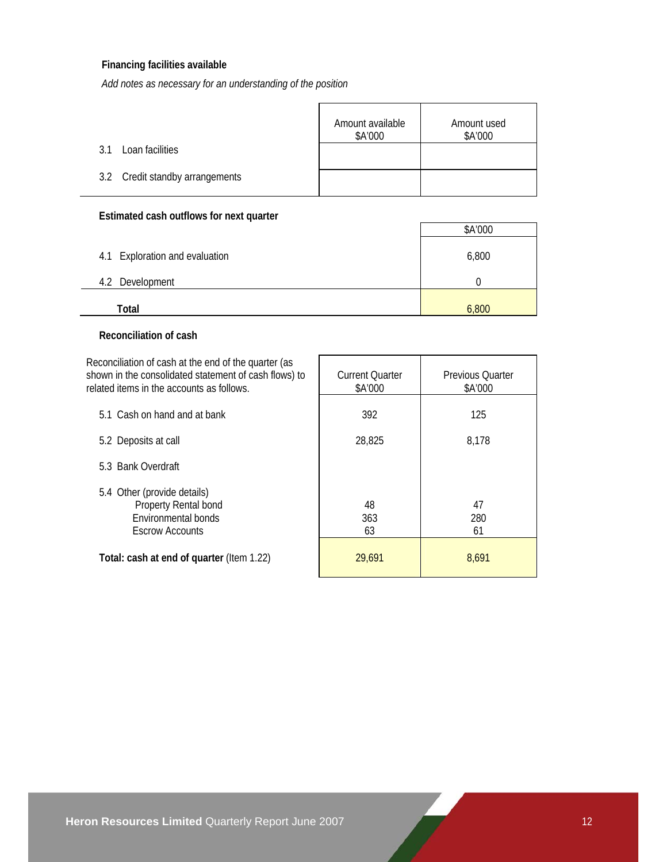### **Financing facilities available**

*Add notes as necessary for an understanding of the position*

|                                 | Amount available<br>\$A'000 | Amount used<br>\$A'000 |
|---------------------------------|-----------------------------|------------------------|
| Loan facilities<br>? 1          |                             |                        |
| 3.2 Credit standby arrangements |                             |                        |

### **Estimated cash outflows for next quarter**

|                                | \$A'000 |
|--------------------------------|---------|
| 4.1 Exploration and evaluation | 6,800   |
| Development<br>4.2             |         |
| Total                          | 6,800   |

### **Reconciliation of cash**

Reconciliation of cash at the end of the quarter (as shown in the consolidated statement of cash flows) to related item

| related items in the accounts as follows.                                                            | \$A'000         | \$A'000         |
|------------------------------------------------------------------------------------------------------|-----------------|-----------------|
| 5.1 Cash on hand and at bank                                                                         | 392             | 125             |
| 5.2 Deposits at call                                                                                 | 28,825          | 8,178           |
| 5.3 Bank Overdraft                                                                                   |                 |                 |
| 5.4 Other (provide details)<br>Property Rental bond<br>Environmental bonds<br><b>Escrow Accounts</b> | 48<br>363<br>63 | 47<br>280<br>61 |
| Total: cash at end of quarter (Item 1.22)                                                            | 29,691          | 8,691           |

Current Quarter

Previous Quarter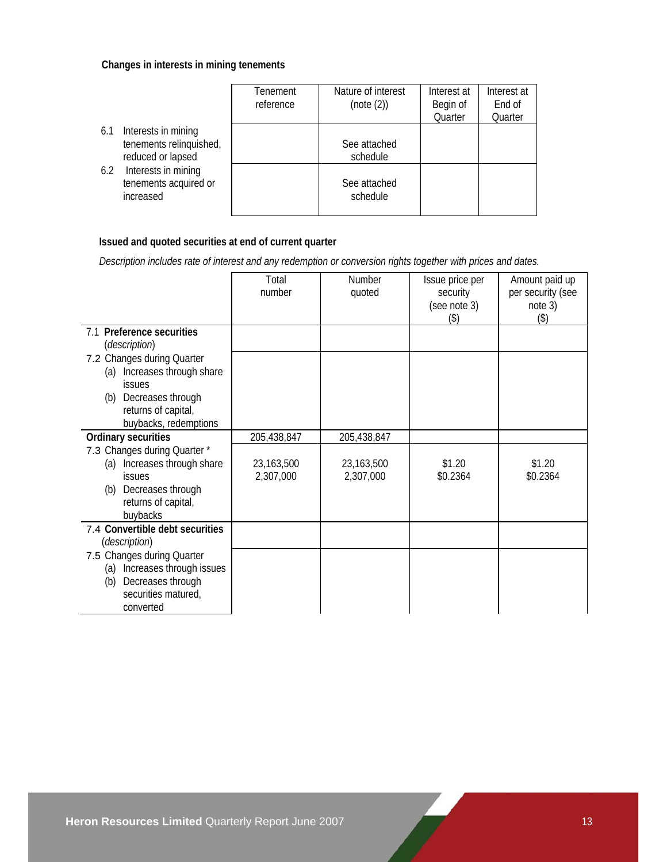### **Changes in interests in mining tenements**

|                                                                            | Tenement<br>reference | Nature of interest<br>(note (2)) | Interest at<br>Begin of<br>Quarter | Interest at<br>End of<br>Quarter |
|----------------------------------------------------------------------------|-----------------------|----------------------------------|------------------------------------|----------------------------------|
| Interests in mining<br>6.1<br>tenements relinquished,<br>reduced or lapsed |                       | See attached<br>schedule         |                                    |                                  |
| Interests in mining<br>6.2<br>tenements acquired or<br>increased           |                       | See attached<br>schedule         |                                    |                                  |

### **Issued and quoted securities at end of current quarter**

 *Description includes rate of interest and any redemption or conversion rights together with prices and dates.* 

|                                                                                                                                                     | Total<br>number         | Number<br>quoted        | Issue price per<br>security<br>(see note 3)<br>(3) | Amount paid up<br>per security (see<br>note 3)<br>(3) |
|-----------------------------------------------------------------------------------------------------------------------------------------------------|-------------------------|-------------------------|----------------------------------------------------|-------------------------------------------------------|
| 7.1 Preference securities<br>(description)                                                                                                          |                         |                         |                                                    |                                                       |
| 7.2 Changes during Quarter<br>(a) Increases through share<br><b>issues</b><br>(b) Decreases through<br>returns of capital,<br>buybacks, redemptions |                         |                         |                                                    |                                                       |
| Ordinary securities                                                                                                                                 | 205,438,847             | 205,438,847             |                                                    |                                                       |
| 7.3 Changes during Quarter *<br>(a) Increases through share<br><b>issues</b><br>(b) Decreases through<br>returns of capital,<br>buybacks            | 23,163,500<br>2,307,000 | 23,163,500<br>2,307,000 | \$1.20<br>\$0.2364                                 | \$1.20<br>\$0.2364                                    |
| 7.4 Convertible debt securities<br>(description)                                                                                                    |                         |                         |                                                    |                                                       |
| 7.5 Changes during Quarter<br>(a) Increases through issues<br>Decreases through<br>(b)<br>securities matured,<br>converted                          |                         |                         |                                                    |                                                       |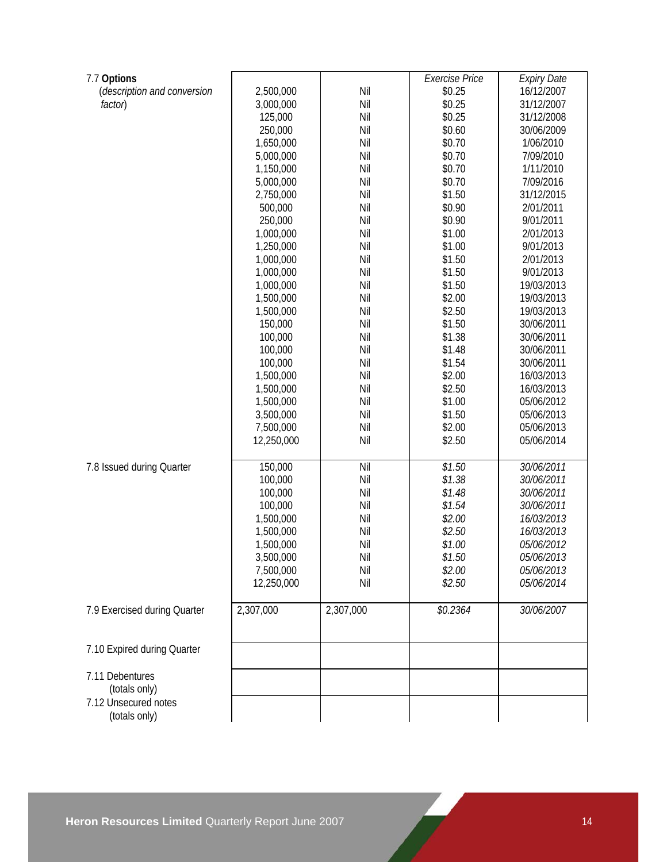| 7.7 Options                  |            |           | <b>Exercise Price</b> | <b>Expiry Date</b> |
|------------------------------|------------|-----------|-----------------------|--------------------|
| (description and conversion  | 2,500,000  | Nil       | \$0.25                | 16/12/2007         |
| factor)                      | 3,000,000  | Nil       | \$0.25                | 31/12/2007         |
|                              | 125,000    | Nil       | \$0.25                | 31/12/2008         |
|                              | 250,000    | Nil       | \$0.60                | 30/06/2009         |
|                              | 1,650,000  | Nil       | \$0.70                | 1/06/2010          |
|                              | 5,000,000  | Nil       | \$0.70                | 7/09/2010          |
|                              | 1,150,000  | Nil       | \$0.70                | 1/11/2010          |
|                              | 5,000,000  | Nil       | \$0.70                | 7/09/2016          |
|                              | 2,750,000  | Nil       | \$1.50                | 31/12/2015         |
|                              | 500,000    | Nil       | \$0.90                | 2/01/2011          |
|                              | 250,000    | Nil       | \$0.90                | 9/01/2011          |
|                              | 1,000,000  | Nil       | \$1.00                | 2/01/2013          |
|                              | 1,250,000  | Nil       | \$1.00                | 9/01/2013          |
|                              | 1,000,000  | Nil       | \$1.50                | 2/01/2013          |
|                              | 1,000,000  | Nil       | \$1.50                | 9/01/2013          |
|                              | 1,000,000  | Nil       | \$1.50                | 19/03/2013         |
|                              | 1,500,000  | Nil       | \$2.00                | 19/03/2013         |
|                              | 1,500,000  | Nil       | \$2.50                | 19/03/2013         |
|                              | 150,000    | Nil       | \$1.50                | 30/06/2011         |
|                              | 100,000    | Nil       | \$1.38                | 30/06/2011         |
|                              | 100,000    | Nil       | \$1.48                | 30/06/2011         |
|                              | 100,000    | Nil       | \$1.54                | 30/06/2011         |
|                              | 1,500,000  | Nil       | \$2.00                | 16/03/2013         |
|                              | 1,500,000  | Nil       | \$2.50                | 16/03/2013         |
|                              | 1,500,000  | Nil       | \$1.00                | 05/06/2012         |
|                              | 3,500,000  | Nil       | \$1.50                | 05/06/2013         |
|                              | 7,500,000  | Nil       | \$2.00                | 05/06/2013         |
|                              | 12,250,000 | Nil       | \$2.50                | 05/06/2014         |
|                              |            |           |                       |                    |
| 7.8 Issued during Quarter    | 150,000    | Nil       | \$1.50                | 30/06/2011         |
|                              | 100,000    | Nil       | \$1.38                | 30/06/2011         |
|                              | 100,000    | Nil       | \$1.48                | 30/06/2011         |
|                              | 100,000    | Nil       | \$1.54                | 30/06/2011         |
|                              | 1,500,000  | Nil       | \$2.00                | 16/03/2013         |
|                              | 1,500,000  | Nil       | \$2.50                | 16/03/2013         |
|                              | 1,500,000  | Nil       | \$1.00                | 05/06/2012         |
|                              | 3,500,000  | Nil       | \$1.50                | 05/06/2013         |
|                              | 7,500,000  | Nil       | \$2.00                | 05/06/2013         |
|                              | 12,250,000 | Nil       | \$2.50                | 05/06/2014         |
|                              |            |           |                       |                    |
| 7.9 Exercised during Quarter | 2,307,000  | 2,307,000 | \$0.2364              | 30/06/2007         |
|                              |            |           |                       |                    |
| 7.10 Expired during Quarter  |            |           |                       |                    |
| 7.11 Debentures              |            |           |                       |                    |
| (totals only)                |            |           |                       |                    |
| 7.12 Unsecured notes         |            |           |                       |                    |
| (totals only)                |            |           |                       |                    |
|                              |            |           |                       |                    |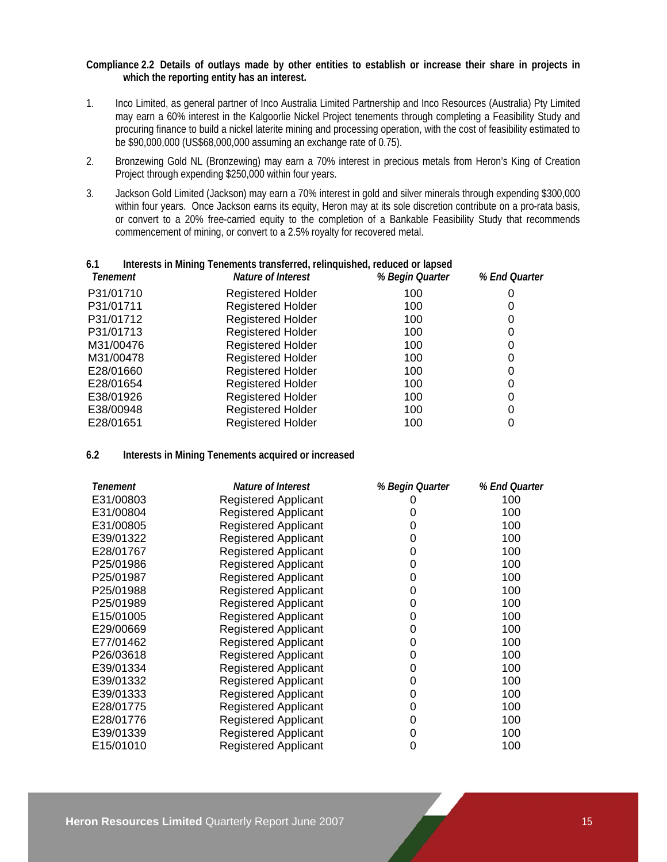### **Compliance 2.2 Details of outlays made by other entities to establish or increase their share in projects in which the reporting entity has an interest.**

- 1. Inco Limited, as general partner of Inco Australia Limited Partnership and Inco Resources (Australia) Pty Limited may earn a 60% interest in the Kalgoorlie Nickel Project tenements through completing a Feasibility Study and procuring finance to build a nickel laterite mining and processing operation, with the cost of feasibility estimated to be \$90,000,000 (US\$68,000,000 assuming an exchange rate of 0.75).
- 2. Bronzewing Gold NL (Bronzewing) may earn a 70% interest in precious metals from Heron's King of Creation Project through expending \$250,000 within four years.
- 3. Jackson Gold Limited (Jackson) may earn a 70% interest in gold and silver minerals through expending \$300,000 within four years. Once Jackson earns its equity, Heron may at its sole discretion contribute on a pro-rata basis, or convert to a 20% free-carried equity to the completion of a Bankable Feasibility Study that recommends commencement of mining, or convert to a 2.5% royalty for recovered metal.

| 6.1       | Interests in Mining Tenements transferred, relinquished, reduced or lapsed |                 |               |
|-----------|----------------------------------------------------------------------------|-----------------|---------------|
| Tenement  | Nature of Interest                                                         | % Begin Quarter | % End Quarter |
| P31/01710 | <b>Registered Holder</b>                                                   | 100             | 0             |
| P31/01711 | <b>Registered Holder</b>                                                   | 100             |               |
| P31/01712 | <b>Registered Holder</b>                                                   | 100             | 0             |
| P31/01713 | <b>Registered Holder</b>                                                   | 100             | 0             |
| M31/00476 | <b>Registered Holder</b>                                                   | 100             | 0             |
| M31/00478 | <b>Registered Holder</b>                                                   | 100             |               |
| E28/01660 | <b>Registered Holder</b>                                                   | 100             | 0             |
| E28/01654 | <b>Registered Holder</b>                                                   | 100             | 0             |
| E38/01926 | <b>Registered Holder</b>                                                   | 100             | 0             |
| E38/00948 | <b>Registered Holder</b>                                                   | 100             | 0             |
| E28/01651 | <b>Registered Holder</b>                                                   | 100             |               |
|           |                                                                            |                 |               |

### **6.2 Interests in Mining Tenements acquired or increased**

| Tenement  | Nature of Interest          | % Begin Quarter | % End Quarter |
|-----------|-----------------------------|-----------------|---------------|
| E31/00803 | <b>Registered Applicant</b> | 0               | 100           |
| E31/00804 | <b>Registered Applicant</b> | 0               | 100           |
| E31/00805 | <b>Registered Applicant</b> | 0               | 100           |
| E39/01322 | <b>Registered Applicant</b> | 0               | 100           |
| E28/01767 | <b>Registered Applicant</b> | 0               | 100           |
| P25/01986 | <b>Registered Applicant</b> | 0               | 100           |
| P25/01987 | <b>Registered Applicant</b> | 0               | 100           |
| P25/01988 | <b>Registered Applicant</b> | 0               | 100           |
| P25/01989 | <b>Registered Applicant</b> | 0               | 100           |
| E15/01005 | <b>Registered Applicant</b> | 0               | 100           |
| E29/00669 | <b>Registered Applicant</b> | 0               | 100           |
| E77/01462 | <b>Registered Applicant</b> | 0               | 100           |
| P26/03618 | <b>Registered Applicant</b> | 0               | 100           |
| E39/01334 | <b>Registered Applicant</b> | 0               | 100           |
| E39/01332 | <b>Registered Applicant</b> | 0               | 100           |
| E39/01333 | <b>Registered Applicant</b> | 0               | 100           |
| E28/01775 | <b>Registered Applicant</b> | 0               | 100           |
| E28/01776 | <b>Registered Applicant</b> | 0               | 100           |
| E39/01339 | <b>Registered Applicant</b> | 0               | 100           |
| E15/01010 | <b>Registered Applicant</b> | 0               | 100           |